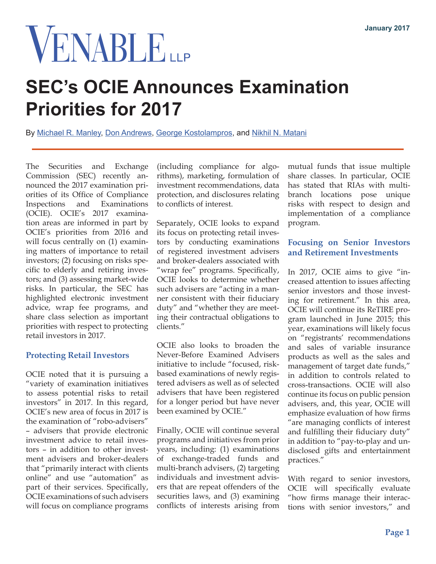# VENABLE

# **SEC's OCIE Announces Examination Priorities for 2017**

By [Michael R. Manley,](https://www.venable.com/michael-r-manley/) [Don Andrews](https://www.venable.com/Don-Andrews), [George Kostolampros](https://www.venable.com/george-kostolampros/), and [Nikhil N. Matani](https://www.venable.com/nikhil-n-matani/)

The Securities and Exchange Commission (SEC) recently announced the 2017 examination priorities of its Office of Compliance Inspections and Examinations (OCIE). OCIE's 2017 examination areas are informed in part by OCIE's priorities from 2016 and will focus centrally on  $(1)$  examining matters of importance to retail investors; (2) focusing on risks specific to elderly and retiring investors; and (3) assessing market-wide risks. In particular, the SEC has highlighted electronic investment advice, wrap fee programs, and share class selection as important priorities with respect to protecting retail investors in 2017.

## **Protecting Retail Investors**

OCIE noted that it is pursuing a "variety of examination initiatives to assess potential risks to retail investors" in 2017. In this regard, OCIE's new area of focus in 2017 is the examination of "robo-advisers" – advisers that provide electronic investment advice to retail investors – in addition to other investment advisers and broker-dealers that "primarily interact with clients online" and use "automation" as part of their services. Specifically, OCIE examinations of such advisers will focus on compliance programs

(including compliance for algorithms), marketing, formulation of investment recommendations, data protection, and disclosures relating to conflicts of interest.

Separately, OCIE looks to expand its focus on protecting retail investors by conducting examinations of registered investment advisers and broker-dealers associated with "wrap fee" programs. Specifically, OCIE looks to determine whether such advisers are "acting in a manner consistent with their fiduciary duty" and "whether they are meeting their contractual obligations to clients."

OCIE also looks to broaden the Never-Before Examined Advisers initiative to include "focused, riskbased examinations of newly registered advisers as well as of selected advisers that have been registered for a longer period but have never been examined by OCIE."

Finally, OCIE will continue several programs and initiatives from prior years, including: (1) examinations of exchange-traded funds and multi-branch advisers, (2) targeting individuals and investment advisers that are repeat offenders of the securities laws, and (3) examining conflicts of interests arising from mutual funds that issue multiple share classes. In particular, OCIE has stated that RIAs with multibranch locations pose unique risks with respect to design and implementation of a compliance program.

## **Focusing on Senior Investors and Retirement Investments**

In 2017, OCIE aims to give "increased attention to issues affecting senior investors and those investing for retirement." In this area, OCIE will continue its ReTIRE program launched in June 2015; this year, examinations will likely focus on "registrants' recommendations and sales of variable insurance products as well as the sales and management of target date funds," in addition to controls related to cross-transactions. OCIE will also continue its focus on public pension advisers, and, this year, OCIE will emphasize evaluation of how firms "are managing conflicts of interest and fulfilling their fiduciary duty" in addition to "pay-to-play and undisclosed gifts and entertainment practices."

With regard to senior investors, OCIE will specifically evaluate "how firms manage their interactions with senior investors," and